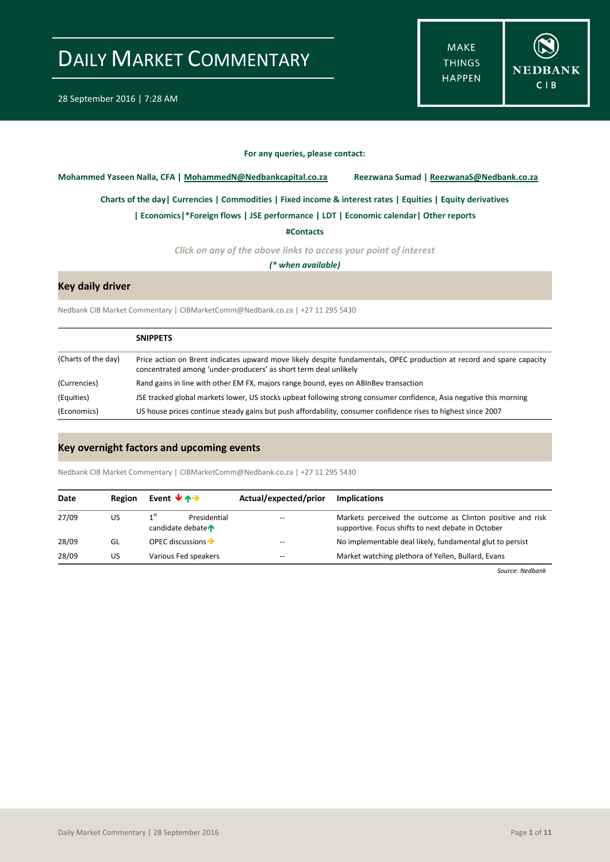**MAKE THINGS HAPPEN** 



#### **For any queries, please contact:**

<span id="page-0-0"></span>**Mohammed Yaseen Nalla, CFA | MohammedN@Nedbankcapital.co.za Reezwana Sumad | ReezwanaS@Nedbank.co.za**

**[Charts of the day|](#page-1-0) [Currencies](#page-2-0) [| Commodities](#page-3-0) | [Fixed income & interest rates](#page-4-0) [| Equities](#page-5-0) | Equity derivatives**

**[| Economics|](#page-6-0)\*Foreign flows | [JSE performance](#page-7-0) [| LDT](#page-8-0) [| Economic calendar|](#page-6-1) Other reports** 

**[#Contacts](#page-9-0)**

*Click on any of the above links to access your point of interest*

*(\* when available)*

### **Key daily driver**

Nedbank CIB Market Commentary | CIBMarketComm@Nedbank.co.za | +27 11 295 5430

|                     | <b>SNIPPETS</b>                                                                                                                                                                           |
|---------------------|-------------------------------------------------------------------------------------------------------------------------------------------------------------------------------------------|
| (Charts of the day) | Price action on Brent indicates upward move likely despite fundamentals, OPEC production at record and spare capacity<br>concentrated among 'under-producers' as short term deal unlikely |
| (Currencies)        | Rand gains in line with other EM FX, majors range bound, eyes on ABInBey transaction                                                                                                      |
| (Equities)          | JSE tracked global markets lower, US stocks upbeat following strong consumer confidence, Asia negative this morning                                                                       |
| (Economics)         | US house prices continue steady gains but push affordability, consumer confidence rises to highest since 2007                                                                             |

### **Key overnight factors and upcoming events**

Nedbank CIB Market Commentary | CIBMarketComm@Nedbank.co.za | +27 11 295 5430

| Date  | Region | Event $\forall$ $\land \rightarrow$                 | Actual/expected/prior | <b>Implications</b>                                                                                              |
|-------|--------|-----------------------------------------------------|-----------------------|------------------------------------------------------------------------------------------------------------------|
| 27/09 | US     | 1 <sup>st</sup><br>Presidential<br>candidate debate | $- -$                 | Markets perceived the outcome as Clinton positive and risk<br>supportive. Focus shifts to next debate in October |
| 28/09 | GL     | OPEC discussions $\rightarrow$                      | --                    | No implementable deal likely, fundamental glut to persist                                                        |
| 28/09 | US     | Various Fed speakers                                | $- -$                 | Market watching plethora of Yellen, Bullard, Evans                                                               |

*Source: Nedbank*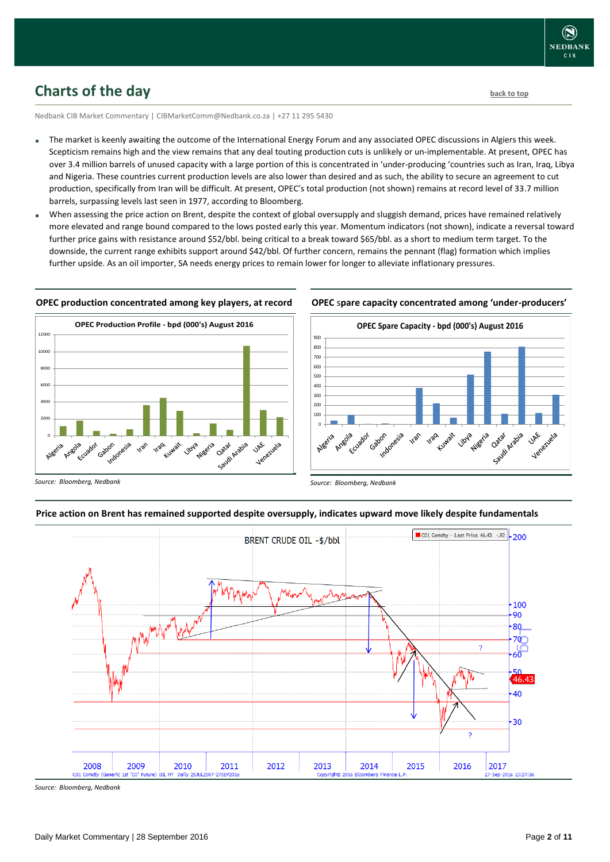

## <span id="page-1-0"></span>**Charts of the day** [back to top](#page-0-0) **back to top**

Nedbank CIB Market Commentary | CIBMarketComm@Nedbank.co.za | +27 11 295 5430

- The market is keenly awaiting the outcome of the International Energy Forum and any associated OPEC discussions in Algiers this week. Scepticism remains high and the view remains that any deal touting production cuts is unlikely or un-implementable. At present, OPEC has over 3.4 million barrels of unused capacity with a large portion of this is concentrated in 'under-producing 'countries such as Iran, Iraq, Libya and Nigeria. These countries current production levels are also lower than desired and as such, the ability to secure an agreement to cut production, specifically from Iran will be difficult. At present, OPEC's total production (not shown) remains at record level of 33.7 million barrels, surpassing levels last seen in 1977, according to Bloomberg.
- When assessing the price action on Brent, despite the context of global oversupply and sluggish demand, prices have remained relatively more elevated and range bound compared to the lows posted early this year. Momentum indicators (not shown), indicate a reversal toward further price gains with resistance around \$52/bbl. being critical to a break toward \$65/bbl. as a short to medium term target. To the downside, the current range exhibits support around \$42/bbl. Of further concern, remains the pennant (flag) formation which implies further upside. As an oil importer, SA needs energy prices to remain lower for longer to alleviate inflationary pressures.

### **OPEC production concentrated among key players, at record**



#### **OPEC** s**pare capacity concentrated among 'under-producers'**



*Source: Bloomberg, Nedbank*

#### **Price action on Brent has remained supported despite oversupply, indicates upward move likely despite fundamentals**



*Source: Bloomberg, Nedbank*

*Source: Bloomberg, Nedbank*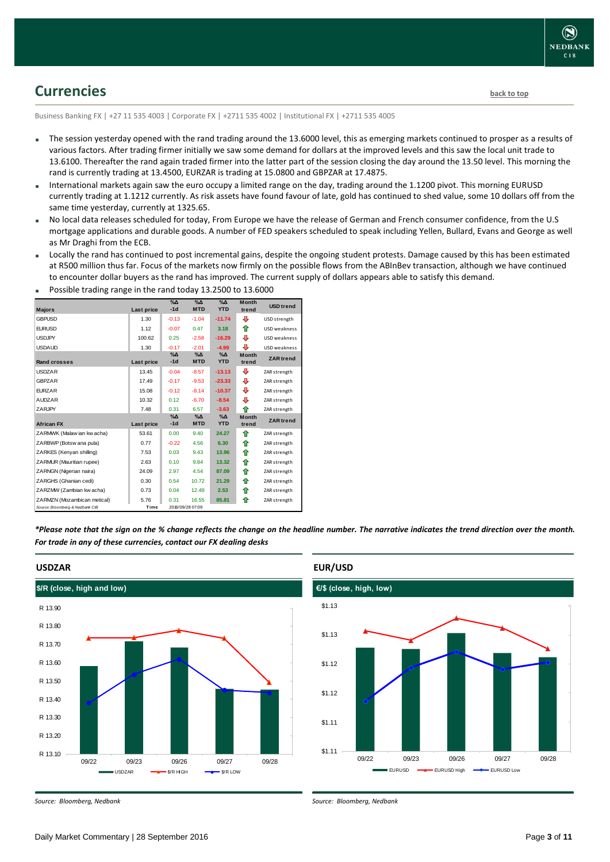

## <span id="page-2-0"></span>**Currencies [back to top](#page-0-0)**

Business Banking FX | +27 11 535 4003 | Corporate FX | +2711 535 4002 | Institutional FX | +2711 535 4005

- The session yesterday opened with the rand trading around the 13.6000 level, this as emerging markets continued to prosper as a results of various factors. After trading firmer initially we saw some demand for dollars at the improved levels and this saw the local unit trade to 13.6100. Thereafter the rand again traded firmer into the latter part of the session closing the day around the 13.50 level. This morning the rand is currently trading at 13.4500, EURZAR is trading at 15.0800 and GBPZAR at 17.4875.
- International markets again saw the euro occupy a limited range on the day, trading around the 1.1200 pivot. This morning EURUSD currently trading at 1.1212 currently. As risk assets have found favour of late, gold has continued to shed value, some 10 dollars off from the same time yesterday, currently at 1325.65.
- No local data releases scheduled for today, From Europe we have the release of German and French consumer confidence, from the U.S mortgage applications and durable goods. A number of FED speakers scheduled to speak including Yellen, Bullard, Evans and George as well as Mr Draghi from the ECB.
- Locally the rand has continued to post incremental gains, despite the ongoing student protests. Damage caused by this has been estimated at R500 million thus far. Focus of the markets now firmly on the possible flows from the ABInBev transaction, although we have continued to encounter dollar buyers as the rand has improved. The current supply of dollars appears able to satisfy this demand.

|                                 |            | $% \Delta$          | $\Delta_0$             | $\Delta$               | <b>Month</b>          |                  |
|---------------------------------|------------|---------------------|------------------------|------------------------|-----------------------|------------------|
| <b>Majors</b>                   | Last price | $-1d$               | <b>MTD</b>             | <b>YTD</b>             | trend                 | <b>USD</b> trend |
| <b>GBPUSD</b>                   | 1.30       | $-0.13$             | $-1.04$                | $-11.74$               | ⊕                     | USD strength     |
| <b>EURUSD</b>                   | 1.12       | $-0.07$             | 0.47                   | 3.18                   | ⇑                     | USD weakness     |
| <b>USDJPY</b>                   | 100.62     | 0.25                | $-2.58$                | $-16.29$               | ⊕                     | USD weakness     |
| <b>USDAUD</b>                   | 1.30       | $-0.17$             | $-2.01$                | $-4.99$                | л                     | USD weakness     |
| Rand crosses                    | Last price | $% \Delta$<br>$-1d$ | $\Delta$<br><b>MTD</b> | $\Delta$<br><b>YTD</b> | <b>Month</b><br>trend | <b>ZAR</b> trend |
| <b>USDZAR</b>                   | 13.45      | $-0.04$             | $-8.57$                | $-13.13$               | ⊕                     | ZAR strength     |
| <b>GBPZAR</b>                   | 17.49      | $-0.17$             | $-9.53$                | $-23.33$               | ⊕                     | ZAR strength     |
| <b>EURZAR</b>                   | 15.08      | $-0.12$             | $-8.14$                | $-10.37$               | ⊕                     | ZAR strength     |
| <b>AUDZAR</b>                   | 10.32      | 0.12                | $-6.70$                | $-8.54$                | ⊕                     | ZAR strength     |
| ZARJPY                          | 7.48       | 0.31                | 6.57                   | $-3.63$                | ♠                     | ZAR strength     |
| <b>African FX</b>               | Last price | $% \Delta$<br>$-1d$ | $\Delta$<br><b>MTD</b> | $\Delta$<br><b>YTD</b> | Month<br>trend        | <b>ZAR</b> trend |
| ZARMWK (Malaw ian kw acha)      | 53.61      | 0.00                | 9.40                   | 24.27                  | ⇑                     | ZAR strength     |
| ZARBWP (Botsw ana pula)         | 0.77       | $-0.22$             | 4.56                   | 6.30                   | ♠                     | ZAR strength     |
| ZARKES (Kenyan shilling)        | 7.53       | 0.03                | 9.43                   | 13.96                  | ⇑                     | ZAR strength     |
| ZARMUR (Mauritian rupee)        | 2.63       | 0.10                | 9.84                   | 13.32                  | ⇑                     | ZAR strength     |
| ZARNGN (Nigerian naira)         | 24.09      | 2.97                | 4.54                   | 87.09                  | ♠                     | ZAR strength     |
| ZARGHS (Ghanian cedi)           | 0.30       | 0.54                | 10.72                  | 21.29                  | ⇑                     | ZAR strength     |
| ZARZMW (Zambian kw acha)        | 0.73       | 0.04                | 12.49                  | 2.53                   | ♠                     | ZAR strength     |
| ZARMZN (Mozambican metical)     | 5.76       | 0.31                | 16.55                  | 85.81                  | ⇑                     | ZAR strength     |
| Source: Bloomberg & Nedbank CIB | Time       |                     | 2016/09/28 07:09       |                        |                       |                  |

Possible trading range in the rand today 13.2500 to 13.6000

*\*Please note that the sign on the % change reflects the change on the headline number. The narrative indicates the trend direction over the month. For trade in any of these currencies, contact our FX dealing desks*



### **EUR/USD**



*Source: Bloomberg, Nedbank*

*Source: Bloomberg, Nedbank*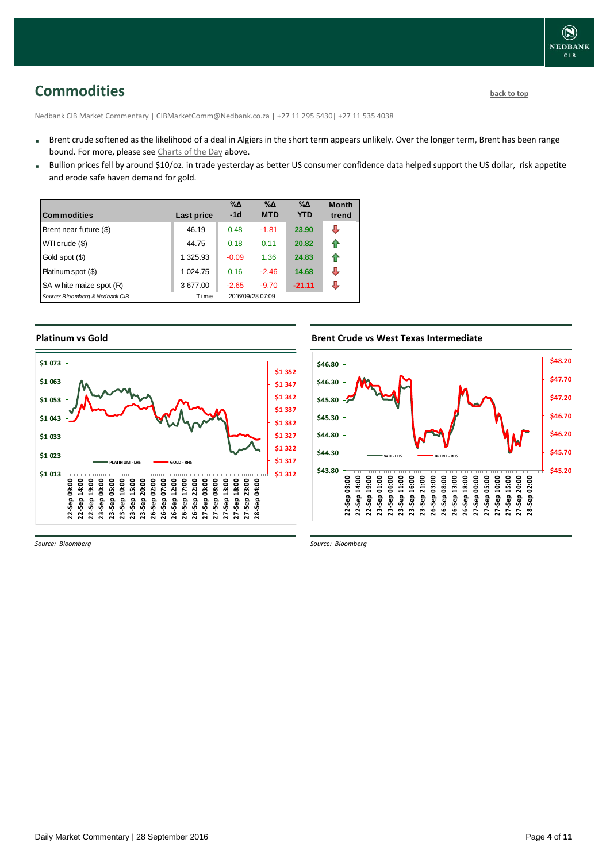# <span id="page-3-0"></span>**Commodities [back to top](#page-0-0)**

Nedbank CIB Market Commentary | CIBMarketComm@Nedbank.co.za | +27 11 295 5430| +27 11 535 4038

- Brent crude softened as the likelihood of a deal in Algiers in the short term appears unlikely. Over the longer term, Brent has been range bound. For more, please see [Charts of the Day](#page-1-0) above.
- Bullion prices fell by around \$10/oz. in trade yesterday as better US consumer confidence data helped support the US dollar, risk appetite and erode safe haven demand for gold.

| <b>Commodities</b>              | Last price | $\% \Delta$<br>$-1d$ | %Δ<br><b>MTD</b> | $\% \Delta$<br><b>YTD</b> | <b>Month</b><br>trend |
|---------------------------------|------------|----------------------|------------------|---------------------------|-----------------------|
| Brent near future (\$)          | 46.19      | 0.48                 | $-1.81$          | 23.90                     | ⊕                     |
| WTI crude (\$)                  | 44.75      | 0.18                 | 0.11             | 20.82                     | ⇑                     |
| Gold spot (\$)                  | 1 325.93   | $-0.09$              | 1.36             | 24.83                     | ⇑                     |
| Platinum spot (\$)              | 1 0 24.75  | 0.16                 | $-2.46$          | 14.68                     | J                     |
| SA w hite maize spot (R)        | 3 677.00   | $-2.65$              | $-9.70$          | $-21.11$                  | л                     |
| Source: Bloomberg & Nedbank CIB | Time       |                      | 2016/09/28 07:09 |                           |                       |

### **Platinum vs Gold**



### **Brent Crude vs West Texas Intermediate Brent Crude vs West Texas Intermediate**



*Source: Bloomberg*

*Source: Bloomberg*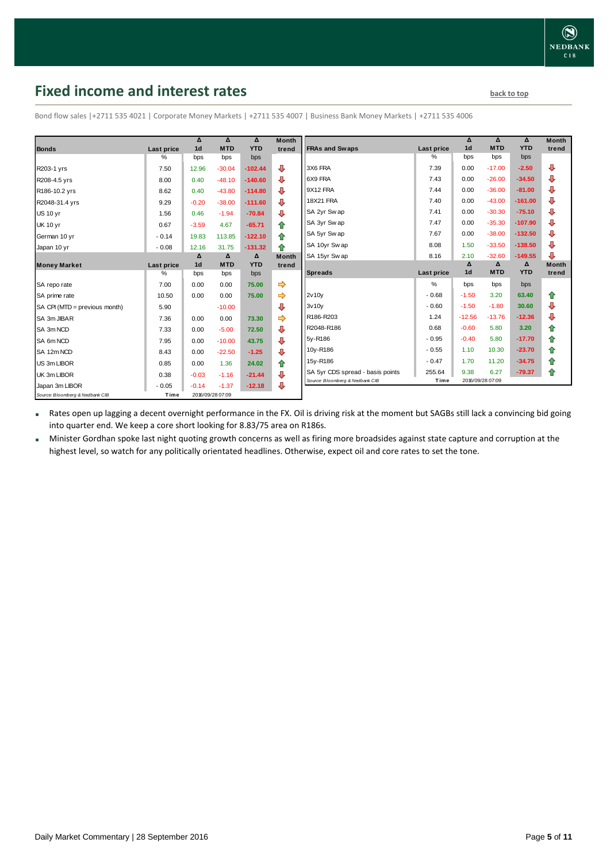# <span id="page-4-0"></span>**Fixed income and interest rates back to the line of the set of the set of the set of the set of the set of the set of the set of the set of the set of the set of the set of the set of the set of the set of the set of th**

|                                 |            | $\Delta$         | $\Delta$   | Δ          | <b>Month</b>  |                                  |                   | Δ                | Δ              | Δ          | <b>Month</b> |
|---------------------------------|------------|------------------|------------|------------|---------------|----------------------------------|-------------------|------------------|----------------|------------|--------------|
| <b>Bonds</b>                    | Last price | 1 <sub>d</sub>   | <b>MTD</b> | <b>YTD</b> | trend         | <b>FRAs and Swaps</b>            | <b>Last price</b> | 1 <sub>d</sub>   | <b>MTD</b>     | <b>YTD</b> | trend        |
|                                 | ℅          | bps              | bps        | bps        |               |                                  | %                 | bps              | bps            | bps        |              |
| R203-1 yrs                      | 7.50       | 12.96            | $-30.04$   | $-102.44$  | ⊕             | 3X6 FRA                          | 7.39              | 0.00             | $-17.00$       | $-2.50$    | ⊕            |
| R208-4.5 yrs                    | 8.00       | 0.40             | $-48.10$   | $-140.60$  | ⊕             | 6X9 FRA                          | 7.43              | 0.00             | $-26.00$       | $-34.50$   | ⊕            |
| R186-10.2 yrs                   | 8.62       | 0.40             | $-43.80$   | $-114.80$  | ⊕             | 9X12 FRA                         | 7.44              | 0.00             | $-36.00$       | $-81.00$   | ⊕            |
| R2048-31.4 yrs                  | 9.29       | $-0.20$          | $-38.00$   | $-111.60$  | ⊕             | 18X21 FRA                        | 7.40              | 0.00             | $-43.00$       | $-161.00$  | ⊕            |
| <b>US 10 yr</b>                 | 1.56       | 0.46             | $-1.94$    | $-70.84$   | ⊕             | SA 2yr Sw ap                     | 7.41              | 0.00             | $-30.30$       | $-75.10$   | ⊕            |
| <b>UK 10 yr</b>                 | 0.67       | $-3.59$          | 4.67       | $-65.71$   | ⇑             | SA 3yr Sw ap                     | 7.47              | 0.00             | $-35.30$       | $-107.90$  | ⊕            |
| German 10 yr                    | $-0.14$    | 19.83            | 113.85     | $-122.10$  | 合             | SA 5yr Sw ap                     | 7.67              | 0.00             | $-38.00$       | $-132.50$  | ⊕            |
| Japan 10 yr                     | $-0.08$    | 12.16            | 31.75      | $-131.32$  | 全             | SA 10yr Swap                     | 8.08              | 1.50             | $-33.50$       | $-138.50$  | ⊕            |
|                                 |            | $\Delta$         | $\Delta$   | $\Delta$   | <b>Month</b>  | SA 15yr Swap                     | 8.16              | 2.10             | $-32.60$       | $-149.55$  | ⊕            |
| <b>Money Market</b>             | Last price | 1 <sub>d</sub>   | <b>MTD</b> | <b>YTD</b> | trend         |                                  |                   | $\pmb{\Delta}$   | $\pmb{\Delta}$ | Δ          | <b>Month</b> |
|                                 | %          | bps              | bps        | bps        |               | <b>Spreads</b>                   | Last price        | 1 <sub>d</sub>   | <b>MTD</b>     | <b>YTD</b> | trend        |
| SA repo rate                    | 7.00       | 0.00             | 0.00       | 75.00      | $\Rightarrow$ |                                  | %                 | bps              | bps            | bps        |              |
| SA prime rate                   | 10.50      | 0.00             | 0.00       | 75.00      |               | 2v10y                            | $-0.68$           | $-1.50$          | 3.20           | 63.40      | 企            |
| SA CPI (MTD = previous month)   | 5.90       |                  | $-10.00$   |            | ⊕             | 3v10v                            | $-0.60$           | $-1.50$          | $-1.80$        | 30.60      | ⊕            |
| SA 3m JIBAR                     | 7.36       | 0.00             | 0.00       | 73.30      | $\Rightarrow$ | R186-R203                        | 1.24              | $-12.56$         | $-13.76$       | $-12.36$   | ⊕            |
| SA 3m NCD                       | 7.33       | 0.00             | $-5.00$    | 72.50      | ⊕             | R2048-R186                       | 0.68              | $-0.60$          | 5.80           | 3.20       | 合            |
| SA 6m NCD                       | 7.95       | 0.00             | $-10.00$   | 43.75      | ⊕             | 5y-R186                          | $-0.95$           | $-0.40$          | 5.80           | $-17.70$   | ⇑            |
| SA 12m NCD                      | 8.43       | 0.00             | $-22.50$   | $-1.25$    | ⊕             | 10y-R186                         | $-0.55$           | 1.10             | 10.30          | $-23.70$   | ⇮            |
| US 3m LIBOR                     | 0.85       | 0.00             | 1.36       | 24.02      | 合             | 15y-R186                         | $-0.47$           | 1.70             | 11.20          | $-34.75$   | ⇮            |
| UK 3m LIBOR                     | 0.38       | $-0.03$          | $-1.16$    | $-21.44$   | ⊕             | SA 5yr CDS spread - basis points | 255.64            | 9.38             | 6.27           | $-79.37$   | ⇑            |
| Japan 3m LIBOR                  | $-0.05$    | $-0.14$          | $-1.37$    | $-12.18$   | ⊕             | Source: Bloomberg & Nedbank CIB  | Time              | 2016/09/28 07:09 |                |            |              |
| Source: Bloomberg & Nedbank CIB | Time       | 2016/09/28 07:09 |            |            |               |                                  |                   |                  |                |            |              |

Bond flow sales |+2711 535 4021 | Corporate Money Markets | +2711 535 4007 | Business Bank Money Markets | +2711 535 4006

 Rates open up lagging a decent overnight performance in the FX. Oil is driving risk at the moment but SAGBs still lack a convincing bid going into quarter end. We keep a core short looking for 8.83/75 area on R186s.

 Minister Gordhan spoke last night quoting growth concerns as well as firing more broadsides against state capture and corruption at the highest level, so watch for any politically orientated headlines. Otherwise, expect oil and core rates to set the tone.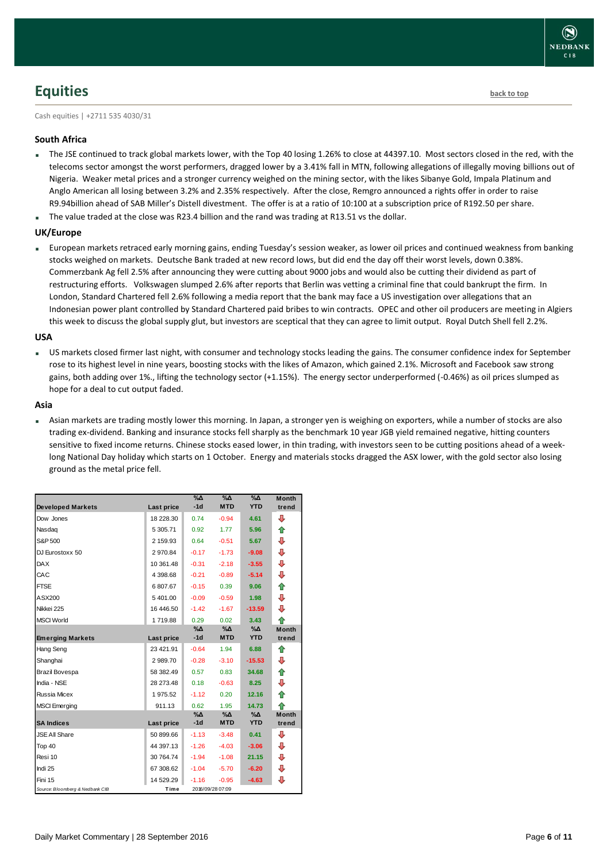## <span id="page-5-0"></span>**Equities [back to top](#page-0-0)**

Cash equities | +2711 535 4030/31

### **South Africa**

- The JSE continued to track global markets lower, with the Top 40 losing 1.26% to close at 44397.10. Most sectors closed in the red, with the telecoms sector amongst the worst performers, dragged lower by a 3.41% fall in MTN, following allegations of illegally moving billions out of Nigeria. Weaker metal prices and a stronger currency weighed on the mining sector, with the likes Sibanye Gold, Impala Platinum and Anglo American all losing between 3.2% and 2.35% respectively. After the close, Remgro announced a rights offer in order to raise R9.94billion ahead of SAB Miller's Distell divestment. The offer is at a ratio of 10:100 at a subscription price of R192.50 per share.
- The value traded at the close was R23.4 billion and the rand was trading at R13.51 vs the dollar.

### **UK/Europe**

 European markets retraced early morning gains, ending Tuesday's session weaker, as lower oil prices and continued weakness from banking stocks weighed on markets. Deutsche Bank traded at new record lows, but did end the day off their worst levels, down 0.38%. Commerzbank Ag fell 2.5% after announcing they were cutting about 9000 jobs and would also be cutting their dividend as part of restructuring efforts. Volkswagen slumped 2.6% after reports that Berlin was vetting a criminal fine that could bankrupt the firm. In London, Standard Chartered fell 2.6% following a media report that the bank may face a US investigation over allegations that an Indonesian power plant controlled by Standard Chartered paid bribes to win contracts. OPEC and other oil producers are meeting in Algiers this week to discuss the global supply glut, but investors are sceptical that they can agree to limit output. Royal Dutch Shell fell 2.2%.

### **USA**

 US markets closed firmer last night, with consumer and technology stocks leading the gains. The consumer confidence index for September rose to its highest level in nine years, boosting stocks with the likes of Amazon, which gained 2.1%. Microsoft and Facebook saw strong gains, both adding over 1%., lifting the technology sector (+1.15%). The energy sector underperformed (-0.46%) as oil prices slumped as hope for a deal to cut output faded.

### **Asia**

 Asian markets are trading mostly lower this morning. In Japan, a stronger yen is weighing on exporters, while a number of stocks are also trading ex-dividend. Banking and insurance stocks fell sharply as the benchmark 10 year JGB yield remained negative, hitting counters sensitive to fixed income returns. Chinese stocks eased lower, in thin trading, with investors seen to be cutting positions ahead of a weeklong National Day holiday which starts on 1 October. Energy and materials stocks dragged the ASX lower, with the gold sector also losing ground as the metal price fell.

| <b>Developed Markets</b>        | Last price | $\%$ $\Delta$<br>$-1d$ | %Δ<br><b>MTD</b> | %Δ<br><b>YTD</b> | <b>Month</b><br>trend |
|---------------------------------|------------|------------------------|------------------|------------------|-----------------------|
| Dow Jones                       | 18 228.30  | 0.74                   | $-0.94$          | 4.61             | ⊕                     |
| Nasdag                          | 5 305.71   | 0.92                   | 1.77             | 5.96             | ♠                     |
| S&P 500                         | 2 159.93   | 0.64                   | $-0.51$          | 5.67             | ⊕                     |
| DJ Eurostoxx 50                 | 2970.84    | $-0.17$                | $-1.73$          | $-9.08$          | ⊕                     |
| <b>DAX</b>                      | 10 361.48  | $-0.31$                | $-2.18$          | $-3.55$          | ⊕                     |
| CAC                             | 4 398.68   | $-0.21$                | $-0.89$          | $-5.14$          | ⊕                     |
| <b>FTSE</b>                     | 6807.67    | $-0.15$                | 0.39             | 9.06             | ⇮                     |
| ASX200                          | 5401.00    | $-0.09$                | $-0.59$          | 1.98             | ⇩                     |
| Nikkei 225                      | 16 44 6.50 | $-1.42$                | $-1.67$          | $-13.59$         | ⊕                     |
| <b>MSCI World</b>               | 1719.88    | 0.29                   | 0.02             | 3.43             | ♠                     |
|                                 |            | %Δ<br>$-1d$            | %Δ<br><b>MTD</b> | %Δ<br><b>YTD</b> | <b>Month</b><br>trend |
| <b>Emerging Markets</b>         | Last price |                        |                  |                  |                       |
| Hang Seng                       | 23 421.91  | $-0.64$                | 1.94             | 6.88             | ♠                     |
| Shanghai                        | 2989.70    | $-0.28$                | $-3.10$          | $-15.53$         | ⊕                     |
| Brazil Bovespa                  | 58 382.49  | 0.57                   | 0.83             | 34.68            | ♠                     |
| India - NSE                     | 28 273.48  | 0.18                   | $-0.63$          | 8.25             | ⊕                     |
| <b>Russia Micex</b>             | 1975.52    | $-1.12$                | 0.20             | 12.16            | ♠                     |
| <b>MSCI</b> Emerging            | 911.13     | 0.62                   | 1.95             | 14.73            | ♠                     |
|                                 |            | %∆                     | %Д               | %Δ               | <b>Month</b>          |
| <b>SA Indices</b>               | Last price | $-1d$                  | <b>MTD</b>       | <b>YTD</b>       | trend                 |
| <b>JSE All Share</b>            | 50 899.66  | $-1.13$                | $-3.48$          | 0.41             | ⊕                     |
| Top 40                          | 44 397.13  | $-1.26$                | $-4.03$          | $-3.06$          | ⊕                     |
| Resi 10                         | 30 764.74  | $-1.94$                | $-1.08$          | 21.15            | ⊕                     |
| Indi 25                         | 67 308.62  | $-1.04$                | $-5.70$          | $-6.20$          | ⊕                     |
| Fini 15                         | 14 529.29  | $-1.16$                | $-0.95$          | $-4.63$          | ⊕                     |
| Source: Bloomberg & Nedbank CIB | Time       |                        | 2016/09/28 07:09 |                  |                       |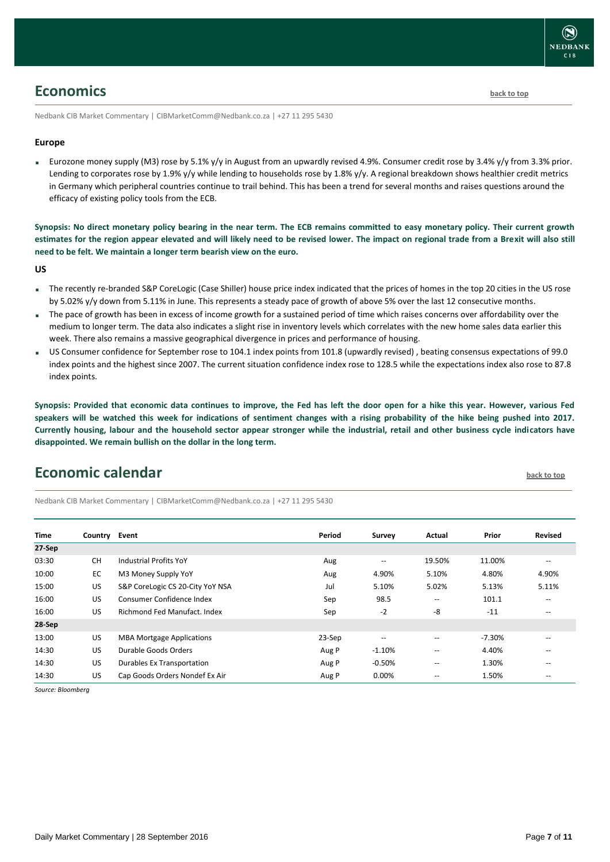

## <span id="page-6-0"></span>**Economics [back to top](#page-0-0)**

Nedbank CIB Market Commentary | CIBMarketComm@Nedbank.co.za | +27 11 295 5430

### **Europe**

Eurozone money supply (M3) rose by 5.1% y/y in August from an upwardly revised 4.9%. Consumer credit rose by 3.4% y/y from 3.3% prior. Lending to corporates rose by 1.9% y/y while lending to households rose by 1.8% y/y. A regional breakdown shows healthier credit metrics in Germany which peripheral countries continue to trail behind. This has been a trend for several months and raises questions around the efficacy of existing policy tools from the ECB.

**Synopsis: No direct monetary policy bearing in the near term. The ECB remains committed to easy monetary policy. Their current growth estimates for the region appear elevated and will likely need to be revised lower. The impact on regional trade from a Brexit will also still need to be felt. We maintain a longer term bearish view on the euro.**

**US**

- The recently re-branded S&P CoreLogic (Case Shiller) house price index indicated that the prices of homes in the top 20 cities in the US rose by 5.02% y/y down from 5.11% in June. This represents a steady pace of growth of above 5% over the last 12 consecutive months.
- The pace of growth has been in excess of income growth for a sustained period of time which raises concerns over affordability over the medium to longer term. The data also indicates a slight rise in inventory levels which correlates with the new home sales data earlier this week. There also remains a massive geographical divergence in prices and performance of housing.
- US Consumer confidence for September rose to 104.1 index points from 101.8 (upwardly revised) , beating consensus expectations of 99.0 index points and the highest since 2007. The current situation confidence index rose to 128.5 while the expectations index also rose to 87.8 index points.

**Synopsis: Provided that economic data continues to improve, the Fed has left the door open for a hike this year. However, various Fed speakers will be watched this week for indications of sentiment changes with a rising probability of the hike being pushed into 2017. Currently housing, labour and the household sector appear stronger while the industrial, retail and other business cycle indicators have disappointed. We remain bullish on the dollar in the long term.**

## <span id="page-6-1"></span>**Economic calendar [back to top](#page-0-0)**

Nedbank CIB Market Commentary | CIBMarketComm@Nedbank.co.za | +27 11 295 5430

| <b>Time</b> | Country Event |                                   | Period | Survey                   | Actual                                              | Prior    | <b>Revised</b> |
|-------------|---------------|-----------------------------------|--------|--------------------------|-----------------------------------------------------|----------|----------------|
| 27-Sep      |               |                                   |        |                          |                                                     |          |                |
| 03:30       | <b>CH</b>     | <b>Industrial Profits YoY</b>     | Aug    | $\overline{\phantom{m}}$ | 19.50%                                              | 11.00%   | --             |
| 10:00       | EC            | M3 Money Supply YoY               | Aug    | 4.90%                    | 5.10%                                               | 4.80%    | 4.90%          |
| 15:00       | US            | S&P CoreLogic CS 20-City YoY NSA  | Jul    | 5.10%                    | 5.02%                                               | 5.13%    | 5.11%          |
| 16:00       | US            | Consumer Confidence Index         | Sep    | 98.5                     | $\hspace{0.05cm} -\hspace{0.05cm} -\hspace{0.05cm}$ | 101.1    | --             |
| 16:00       | US            | Richmond Fed Manufact, Index      | Sep    | $-2$                     | -8                                                  | $-11$    | --             |
| 28-Sep      |               |                                   |        |                          |                                                     |          |                |
| 13:00       | US            | <b>MBA Mortgage Applications</b>  | 23-Sep | $\overline{\phantom{m}}$ | $\overline{\phantom{a}}$                            | $-7.30%$ | --             |
| 14:30       | US            | Durable Goods Orders              | Aug P  | $-1.10%$                 | $\hspace{0.05cm} -\hspace{0.05cm} -\hspace{0.05cm}$ | 4.40%    | --             |
| 14:30       | US            | <b>Durables Ex Transportation</b> | Aug P  | $-0.50%$                 | $\overline{\phantom{m}}$                            | 1.30%    | --             |
| 14:30       | US            | Cap Goods Orders Nondef Ex Air    | Aug P  | 0.00%                    | $\overline{\phantom{m}}$                            | 1.50%    | $- -$          |

*Source: Bloomberg*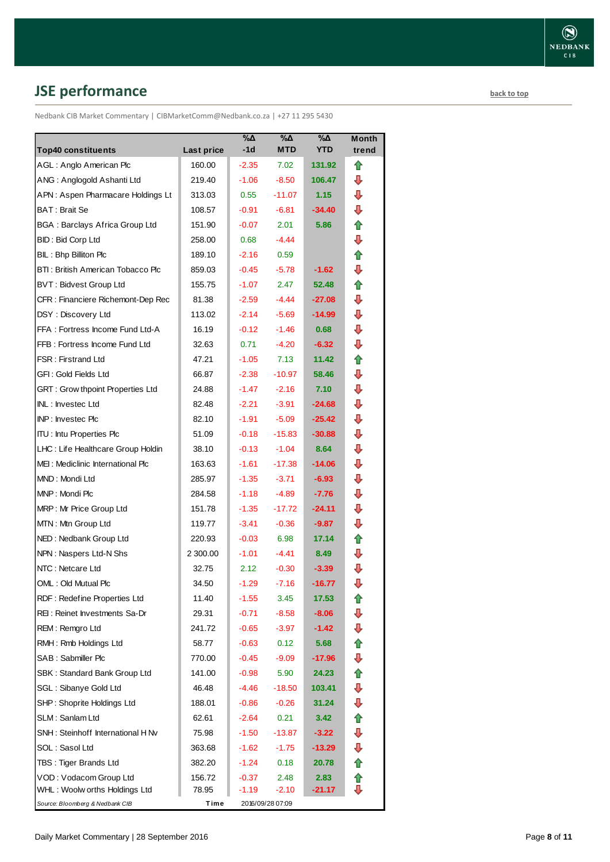# <span id="page-7-0"></span>**JSE performance [back to top](#page-0-0)**

Nedbank CIB Market Commentary | CIBMarketComm@Nedbank.co.za | +27 11 295 5430

| <b>Top40 constituents</b>             | Last price | $\%$ $\Delta$<br>$-1d$ | %Δ<br><b>MTD</b> | %Δ<br><b>YTD</b> | Month<br>trend |
|---------------------------------------|------------|------------------------|------------------|------------------|----------------|
| AGL: Anglo American Plc               | 160.00     | $-2.35$                | 7.02             | 131.92           | ⇑              |
| ANG: Anglogold Ashanti Ltd            | 219.40     | $-1.06$                | $-8.50$          | 106.47           | ⊕              |
| APN: Aspen Pharmacare Holdings Lt     | 313.03     | 0.55                   | $-11.07$         | 1.15             | ⊕              |
| BAT: Brait Se                         | 108.57     | $-0.91$                | $-6.81$          | $-34.40$         | ⇩              |
| <b>BGA: Barclays Africa Group Ltd</b> | 151.90     | $-0.07$                | 2.01             | 5.86             | ✿              |
| <b>BID: Bid Corp Ltd</b>              | 258.00     | 0.68                   | $-4.44$          |                  | ⊕              |
| BIL: Bhp Billiton Plc                 | 189.10     | $-2.16$                | 0.59             |                  | ⇑              |
| BTI: British American Tobacco Plc     | 859.03     | $-0.45$                | $-5.78$          | $-1.62$          | ₽              |
| <b>BVT: Bidvest Group Ltd</b>         | 155.75     | $-1.07$                | 2.47             | 52.48            | 合              |
| CFR : Financiere Richemont-Dep Rec    | 81.38      | $-2.59$                | $-4.44$          | $-27.08$         | ⊕              |
| DSY: Discovery Ltd                    | 113.02     | $-2.14$                | $-5.69$          | $-14.99$         | ⇩              |
| FFA: Fortress Income Fund Ltd-A       | 16.19      | $-0.12$                | $-1.46$          | 0.68             | ⇩              |
| FFB: Fortress Income Fund Ltd         | 32.63      | 0.71                   | $-4.20$          | $-6.32$          | ⇩              |
| <b>FSR: Firstrand Ltd</b>             | 47.21      | $-1.05$                | 7.13             | 11.42            | ✿              |
| GFI: Gold Fields Ltd                  | 66.87      | $-2.38$                | $-10.97$         | 58.46            | ⇩              |
| GRT : Grow thpoint Properties Ltd     | 24.88      | $-1.47$                | $-2.16$          | 7.10             | ⇩              |
| INL: Investec Ltd                     | 82.48      | $-2.21$                | $-3.91$          | $-24.68$         | ₽              |
| INP: Investec Plc                     | 82.10      | -1.91                  | $-5.09$          | $-25.42$         | ⊕              |
| <b>ITU: Intu Properties Plc</b>       | 51.09      | $-0.18$                | $-15.83$         | $-30.88$         | ⇩              |
| LHC: Life Healthcare Group Holdin     | 38.10      | $-0.13$                | $-1.04$          | 8.64             | ⊕              |
| MEI: Mediclinic International Plc     | 163.63     | $-1.61$                | $-17.38$         | -14.06           | ₽              |
| MND: Mondi Ltd                        | 285.97     | $-1.35$                | $-3.71$          | $-6.93$          | ⇩              |
| MNP: Mondi Plc                        | 284.58     | $-1.18$                | -4.89            | $-7.76$          | ₽              |
| MRP: Mr Price Group Ltd               | 151.78     | $-1.35$                | $-17.72$         | -24.11           | ⊕              |
| MTN: Mtn Group Ltd                    | 119.77     | $-3.41$                | $-0.36$          | $-9.87$          | ₽              |
| NED: Nedbank Group Ltd                | 220.93     | $-0.03$                | 6.98             | 17.14            | ⇑              |
| NPN: Naspers Ltd-N Shs                | 2 300.00   | $-1.01$                | -4.41            | 8.49             | ⇩              |
| NTC: Netcare Ltd                      | 32.75      | 2.12                   | $-0.30$          | $-3.39$          | ⇩              |
| OML: Old Mutual Plc                   | 34.50      | $-1.29$                | $-7.16$          | $-16.77$         | ⇩              |
| RDF: Redefine Properties Ltd          | 11.40      | $-1.55$                | 3.45             | 17.53            | ⇑              |
| REI: Reinet Investments Sa-Dr         | 29.31      | $-0.71$                | $-8.58$          | $-8.06$          | ⇩              |
| REM: Remgro Ltd                       | 241.72     | $-0.65$                | $-3.97$          | -1.42            | ⇩              |
| RMH: Rmb Holdings Ltd                 | 58.77      | $-0.63$                | 0.12             | 5.68             | ⇑              |
| SAB: Sabmiller Plc                    | 770.00     | $-0.45$                | $-9.09$          | -17.96           | ⊕              |
| SBK: Standard Bank Group Ltd          | 141.00     | $-0.98$                | 5.90             | 24.23            | 合              |
| SGL : Sibanye Gold Ltd                | 46.48      | -4.46                  | $-18.50$         | 103.41           | ⊕              |
| SHP: Shoprite Holdings Ltd            | 188.01     | $-0.86$                | $-0.26$          | 31.24            | ⇩              |
| SLM: Sanlam Ltd                       | 62.61      | $-2.64$                | 0.21             | 3.42             | ⇑              |
| SNH: Steinhoff International H Nv     | 75.98      | $-1.50$                | -13.87           | $-3.22$          | ⊕              |
| SOL: Sasol Ltd                        | 363.68     | $-1.62$                | $-1.75$          | -13.29           | ⇩              |
| TBS: Tiger Brands Ltd                 | 382.20     | $-1.24$                | 0.18             | 20.78            | ⇑              |
| VOD: Vodacom Group Ltd                | 156.72     | -0.37                  | 2.48             | 2.83             | ⇑              |
| WHL : Woolw orths Holdings Ltd        | 78.95      | $-1.19$                | $-2.10$          | $-21.17$         | ⊕              |
| Source: Bloomberg & Nedbank CIB       | Time       |                        | 2016/09/28 07:09 |                  |                |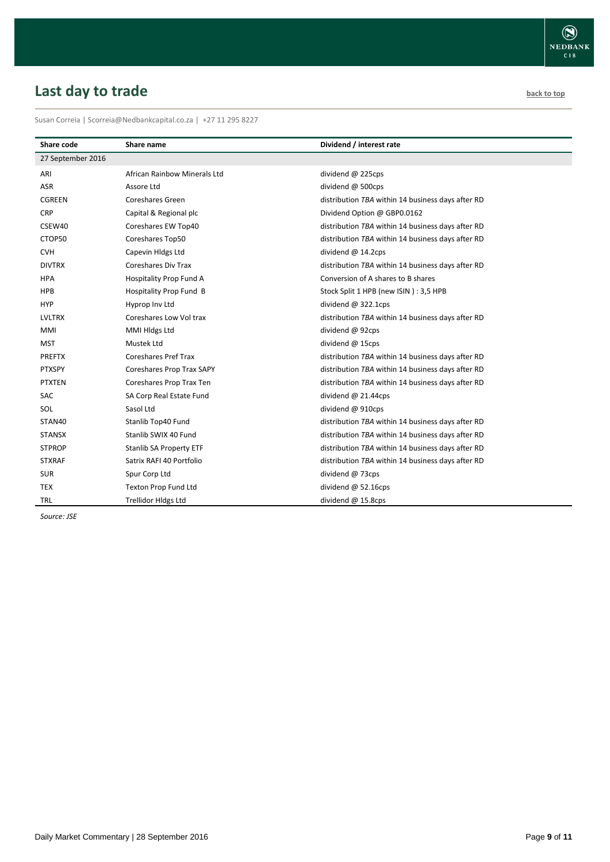# <span id="page-8-0"></span>**Last day to trade back to the contract of the contract of the contract of the contract of the contract of the contract of the contract of the contract of the contract of the contract of the contract of the contract of t**

Susan Correia | [Scorreia@Nedbankcapital.co.za](mailto:Scorreia@Nedbankcapital.co.za) | +27 11 295 8227

| Share code        | Share name                     | Dividend / interest rate                          |
|-------------------|--------------------------------|---------------------------------------------------|
| 27 September 2016 |                                |                                                   |
| ARI               | African Rainbow Minerals Ltd   | dividend @ 225cps                                 |
| ASR               | Assore Ltd                     | dividend @ 500cps                                 |
| <b>CGREEN</b>     | Coreshares Green               | distribution TBA within 14 business days after RD |
| <b>CRP</b>        | Capital & Regional plc         | Dividend Option @ GBP0.0162                       |
| CSEW40            | Coreshares EW Top40            | distribution TBA within 14 business days after RD |
| CTOP50            | Coreshares Top50               | distribution TBA within 14 business days after RD |
| <b>CVH</b>        | Capevin Hldgs Ltd              | dividend $@$ 14.2cps                              |
| <b>DIVTRX</b>     | <b>Coreshares Div Trax</b>     | distribution TBA within 14 business days after RD |
| <b>HPA</b>        | Hospitality Prop Fund A        | Conversion of A shares to B shares                |
| <b>HPB</b>        | Hospitality Prop Fund B        | Stock Split 1 HPB (new ISIN): 3,5 HPB             |
| <b>HYP</b>        | Hyprop Inv Ltd                 | dividend $@322.1cps$                              |
| <b>LVLTRX</b>     | Coreshares Low Vol trax        | distribution TBA within 14 business days after RD |
| <b>MMI</b>        | MMI Hldgs Ltd                  | dividend @ 92cps                                  |
| <b>MST</b>        | Mustek Ltd                     | dividend @ 15cps                                  |
| <b>PREFTX</b>     | <b>Coreshares Pref Trax</b>    | distribution TBA within 14 business days after RD |
| PTXSPY            | Coreshares Prop Trax SAPY      | distribution TBA within 14 business days after RD |
| <b>PTXTEN</b>     | Coreshares Prop Trax Ten       | distribution TBA within 14 business days after RD |
| <b>SAC</b>        | SA Corp Real Estate Fund       | dividend $@$ 21.44cps                             |
| SOL               | Sasol Ltd                      | dividend @ 910cps                                 |
| STAN40            | Stanlib Top40 Fund             | distribution TBA within 14 business days after RD |
| <b>STANSX</b>     | Stanlib SWIX 40 Fund           | distribution TBA within 14 business days after RD |
| <b>STPROP</b>     | <b>Stanlib SA Property ETF</b> | distribution TBA within 14 business days after RD |
| <b>STXRAF</b>     | Satrix RAFI 40 Portfolio       | distribution TBA within 14 business days after RD |
| <b>SUR</b>        | Spur Corp Ltd                  | dividend @ 73cps                                  |
| <b>TEX</b>        | Texton Prop Fund Ltd           | dividend $@$ 52.16cps                             |
| <b>TRL</b>        | <b>Trellidor Hldgs Ltd</b>     | dividend @ 15.8cps                                |

*Source: JSE*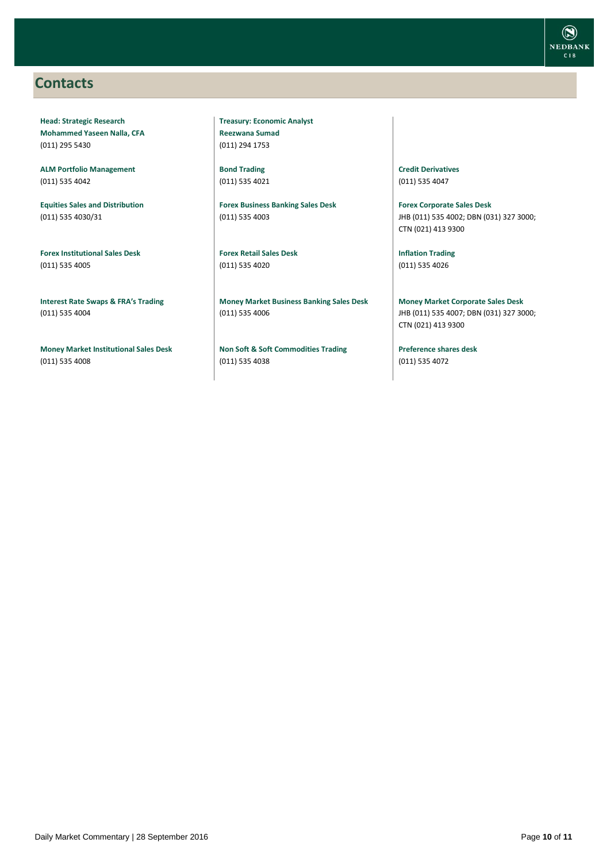## <span id="page-9-0"></span>**Contacts**

**Head: Strategic Research Mohammed Yaseen Nalla, CFA** (011) 295 5430

**ALM Portfolio Management** (011) 535 4042

**Equities Sales and Distribution** (011) 535 4030/31

**Forex Institutional Sales Desk** (011) 535 4005

**Interest Rate Swaps & FRA's Trading** (011) 535 4004

**Money Market Institutional Sales Desk** (011) 535 4008

**Treasury: Economic Analyst Reezwana Sumad** (011) 294 1753

**Bond Trading** (011) 535 4021

**Forex Business Banking Sales Desk** (011) 535 4003

**Forex Retail Sales Desk** (011) 535 4020

**Money Market Business Banking Sales Desk** (011) 535 4006

**Non Soft & Soft Commodities Trading** (011) 535 4038

**Credit Derivatives**  (011) 535 4047

**Forex Corporate Sales Desk** JHB (011) 535 4002; DBN (031) 327 3000; CTN (021) 413 9300

**Inflation Trading** (011) 535 4026

**Money Market Corporate Sales Desk** JHB (011) 535 4007; DBN (031) 327 3000; CTN (021) 413 9300

**Preference shares desk** (011) 535 4072